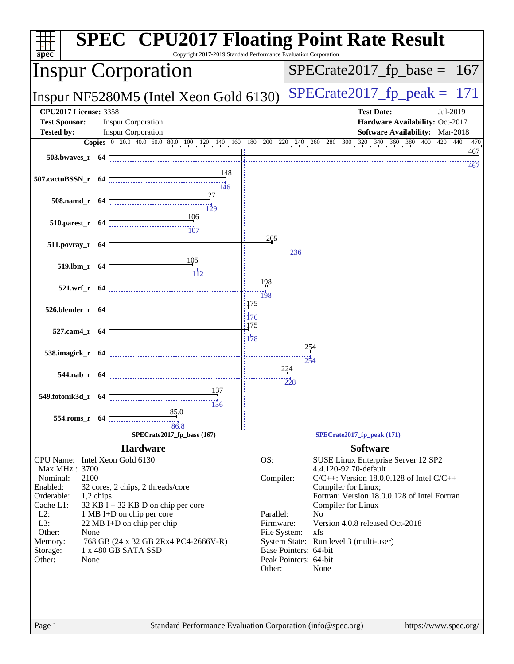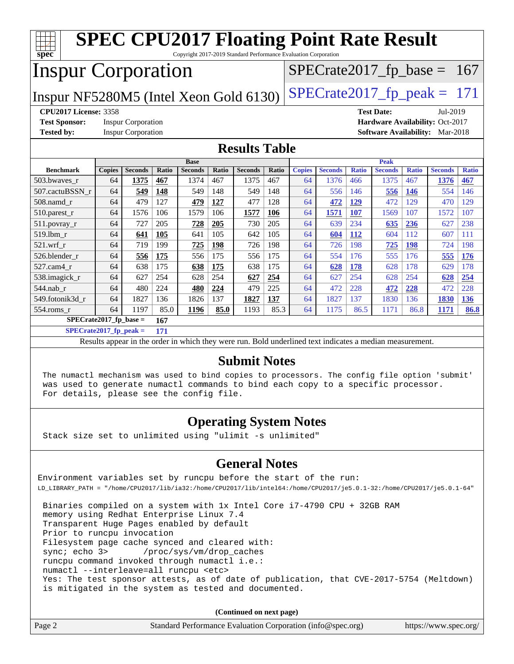| <b>SPEC CPU2017 Floating Point Rate Result</b><br>Copyright 2017-2019 Standard Performance Evaluation Corporation<br>$spec^*$ |               |                           |       |                               |       |                |       |               |                |              |                               |                               |                                        |              |
|-------------------------------------------------------------------------------------------------------------------------------|---------------|---------------------------|-------|-------------------------------|-------|----------------|-------|---------------|----------------|--------------|-------------------------------|-------------------------------|----------------------------------------|--------------|
| <b>Inspur Corporation</b>                                                                                                     |               |                           |       |                               |       |                |       |               |                |              |                               | $SPECrate2017_fp\_base = 167$ |                                        |              |
| $SPECTate2017$ _fp_peak = 171<br>Inspur NF5280M5 (Intel Xeon Gold 6130)                                                       |               |                           |       |                               |       |                |       |               |                |              |                               |                               |                                        |              |
| <b>CPU2017 License: 3358</b><br><b>Test Date:</b><br>Jul-2019                                                                 |               |                           |       |                               |       |                |       |               |                |              |                               |                               |                                        |              |
| <b>Test Sponsor:</b>                                                                                                          |               | <b>Inspur Corporation</b> |       |                               |       |                |       |               |                |              |                               |                               | Hardware Availability: Oct-2017        |              |
| <b>Tested by:</b>                                                                                                             |               | <b>Inspur Corporation</b> |       |                               |       |                |       |               |                |              |                               |                               | <b>Software Availability:</b> Mar-2018 |              |
|                                                                                                                               |               |                           |       |                               |       |                |       |               |                |              |                               |                               |                                        |              |
| <b>Results Table</b>                                                                                                          |               |                           |       |                               |       |                |       |               |                |              |                               |                               |                                        |              |
| <b>Benchmark</b>                                                                                                              | <b>Copies</b> | <b>Seconds</b>            | Ratio | <b>Base</b><br><b>Seconds</b> | Ratio | <b>Seconds</b> | Ratio | <b>Copies</b> | <b>Seconds</b> | <b>Ratio</b> | <b>Peak</b><br><b>Seconds</b> | <b>Ratio</b>                  | <b>Seconds</b>                         | <b>Ratio</b> |
| 503.bwaves_r                                                                                                                  | 64            | 1375                      | 467   | 1374                          | 467   | 1375           | 467   | 64            | 1376           | 466          | 1375                          | 467                           | 1376                                   | 467          |
| 507.cactuBSSN r                                                                                                               | 64            | 549                       | 148   | 549                           | 148   | 549            | 148   | 64            | 556            | 146          | 556                           | 146                           | 554                                    | 146          |
| 508.namd r                                                                                                                    | 64            | 479                       | 127   | 479                           | 127   | 477            | 128   | 64            | 472            | 129          | 472                           | 129                           | 470                                    | 129          |
| 510.parest_r                                                                                                                  | 64            | 1576                      | 106   | 1579                          | 106   | 1577           | 106   | 64            | 1571           | 107          | 1569                          | 107                           | 1572                                   | 107          |
| 511.povray_r                                                                                                                  | 64            | 727                       | 205   | 728                           | 205   | 730            | 205   | 64            | 639            | 234          | 635                           | 236                           | 627                                    | 238          |
| 519.lbm_r                                                                                                                     | 64            | 641                       | 105   | 641                           | 105   | 642            | 105   | 64            | 604            | <b>112</b>   | 604                           | 112                           | 607                                    | 111          |
| $521$ .wrf r                                                                                                                  | 64            | 719                       | 199   | 725                           | 198   | 726            | 198   | 64            | 726            | 198          | 725                           | 198                           | 724                                    | 198          |
| 526.blender r                                                                                                                 | 64            | 556                       | 175   | 556                           | 175   | 556            | 175   | 64            | 554            | 176          | 555                           | 176                           | 555                                    | 176          |
| 527.cam4 r                                                                                                                    | 64            | 638                       | 175   | 638                           | 175   | 638            | 175   | 64            | 628            | 178          | 628                           | 178                           | 629                                    | 178          |
| 538.imagick_r                                                                                                                 | 64            | 627                       | 254   | 628                           | 254   | 627            | 254   | 64            | 627            | 254          | 628                           | 254                           | 628                                    | 254          |
| 544.nab r                                                                                                                     | 64            | 480                       | 224   | 480                           | 224   | 479            | 225   | 64            | 472            | 228          | 472                           | 228                           | 472                                    | 228          |
| 549.fotonik3d_r                                                                                                               | 64            | 1827                      | 136   | 1826                          | 137   | 1827           | 137   | 64            | 1827           | 137          | 1830                          | 136                           | 1830                                   | 136          |
| 554.roms_r                                                                                                                    | 64            | 1197                      | 85.0  | 1196                          | 85.0  | 1193           | 85.3  | 64            | 1175           | 86.5         | 1171                          | 86.8                          | 1171                                   | 86.8         |
| $SPECrate2017_fp\_base =$<br>167                                                                                              |               |                           |       |                               |       |                |       |               |                |              |                               |                               |                                        |              |
| $SPECrate2017$ fp peak =                                                                                                      |               |                           | 171   |                               |       |                |       |               |                |              |                               |                               |                                        |              |

Results appear in the [order in which they were run.](http://www.spec.org/auto/cpu2017/Docs/result-fields.html#RunOrder) Bold underlined text [indicates a median measurement.](http://www.spec.org/auto/cpu2017/Docs/result-fields.html#Median)

#### **[Submit Notes](http://www.spec.org/auto/cpu2017/Docs/result-fields.html#SubmitNotes)**

 The numactl mechanism was used to bind copies to processors. The config file option 'submit' was used to generate numactl commands to bind each copy to a specific processor. For details, please see the config file.

### **[Operating System Notes](http://www.spec.org/auto/cpu2017/Docs/result-fields.html#OperatingSystemNotes)**

Stack size set to unlimited using "ulimit -s unlimited"

### **[General Notes](http://www.spec.org/auto/cpu2017/Docs/result-fields.html#GeneralNotes)**

Environment variables set by runcpu before the start of the run: LD\_LIBRARY\_PATH = "/home/CPU2017/lib/ia32:/home/CPU2017/lib/intel64:/home/CPU2017/je5.0.1-32:/home/CPU2017/je5.0.1-64"

 Binaries compiled on a system with 1x Intel Core i7-4790 CPU + 32GB RAM memory using Redhat Enterprise Linux 7.4 Transparent Huge Pages enabled by default Prior to runcpu invocation Filesystem page cache synced and cleared with: sync; echo 3> /proc/sys/vm/drop\_caches runcpu command invoked through numactl i.e.: numactl --interleave=all runcpu <etc> Yes: The test sponsor attests, as of date of publication, that CVE-2017-5754 (Meltdown) is mitigated in the system as tested and documented.

**(Continued on next page)**

| Page 2 | Standard Performance Evaluation Corporation (info@spec.org) | https://www.spec.org/ |
|--------|-------------------------------------------------------------|-----------------------|
|--------|-------------------------------------------------------------|-----------------------|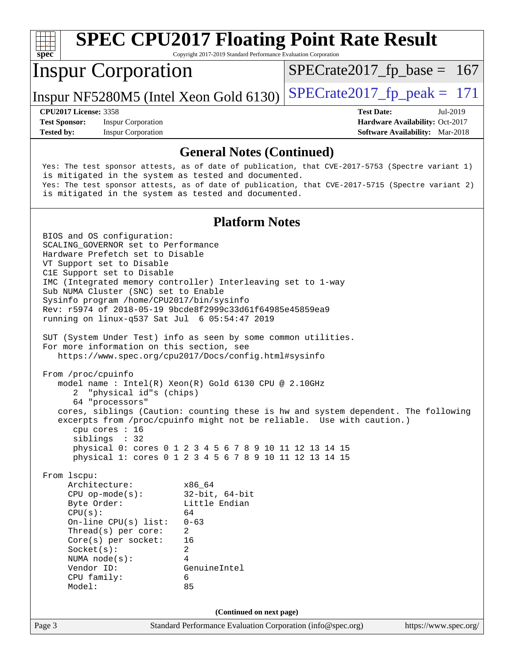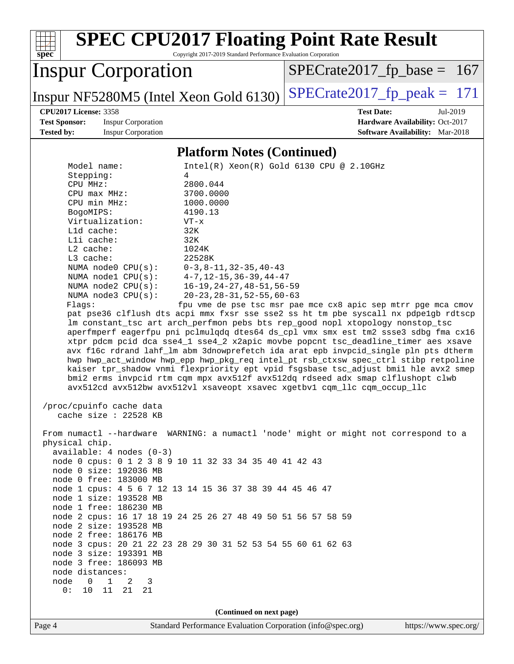| <b>SPEC CPU2017 Floating Point Rate Result</b><br>spec<br>Copyright 2017-2019 Standard Performance Evaluation Corporation |                                                               |  |  |  |  |  |
|---------------------------------------------------------------------------------------------------------------------------|---------------------------------------------------------------|--|--|--|--|--|
| <b>Inspur Corporation</b>                                                                                                 | $SPECrate2017_fp\_base = 167$                                 |  |  |  |  |  |
| Inspur NF5280M5 (Intel Xeon Gold 6130)                                                                                    | $SPECrate2017_fp\_peak = 171$                                 |  |  |  |  |  |
| <b>CPU2017 License: 3358</b>                                                                                              | <b>Test Date:</b><br>Jul-2019                                 |  |  |  |  |  |
| <b>Test Sponsor:</b><br><b>Inspur Corporation</b>                                                                         | Hardware Availability: Oct-2017                               |  |  |  |  |  |
| <b>Tested by:</b><br><b>Inspur Corporation</b>                                                                            | <b>Software Availability:</b> Mar-2018                        |  |  |  |  |  |
| <b>Platform Notes (Continued)</b>                                                                                         |                                                               |  |  |  |  |  |
| Model name:                                                                                                               | Intel(R) Xeon(R) Gold 6130 CPU @ 2.10GHz                      |  |  |  |  |  |
| Stepping:<br>4                                                                                                            |                                                               |  |  |  |  |  |
| CPU MHz:<br>2800.044                                                                                                      |                                                               |  |  |  |  |  |
| CPU max MHz:<br>3700.0000                                                                                                 |                                                               |  |  |  |  |  |
| CPU min MHz:<br>1000.0000                                                                                                 |                                                               |  |  |  |  |  |
| BogoMIPS:<br>4190.13                                                                                                      |                                                               |  |  |  |  |  |
| Virtualization:<br>$VT - x$                                                                                               |                                                               |  |  |  |  |  |
| L1d cache:<br>32K<br>Lli cache:<br>32K                                                                                    |                                                               |  |  |  |  |  |
| L2 cache:<br>1024K                                                                                                        |                                                               |  |  |  |  |  |
| $L3$ cache:<br>22528K                                                                                                     |                                                               |  |  |  |  |  |
| NUMA node0 CPU(s):<br>$0-3, 8-11, 32-35, 40-43$                                                                           |                                                               |  |  |  |  |  |
| NUMA nodel CPU(s):<br>$4 - 7, 12 - 15, 36 - 39, 44 - 47$                                                                  |                                                               |  |  |  |  |  |
| NUMA node2 CPU(s):<br>$16 - 19, 24 - 27, 48 - 51, 56 - 59$                                                                |                                                               |  |  |  |  |  |
| $20 - 23, 28 - 31, 52 - 55, 60 - 63$<br>NUMA $node3$ $CPU(s)$ :                                                           |                                                               |  |  |  |  |  |
| Flags:<br>pat pse36 clflush dts acpi mmx fxsr sse sse2 ss ht tm pbe syscall nx pdpelgb rdtscp                             | fpu vme de pse tsc msr pae mce cx8 apic sep mtrr pge mca cmov |  |  |  |  |  |
| lm constant_tsc art arch_perfmon pebs bts rep_good nopl xtopology nonstop_tsc                                             |                                                               |  |  |  |  |  |
| aperfmperf eagerfpu pni pclmulqdq dtes64 ds_cpl vmx smx est tm2 ssse3 sdbg fma cx16                                       |                                                               |  |  |  |  |  |
| xtpr pdcm pcid dca sse4_1 sse4_2 x2apic movbe popcnt tsc_deadline_timer aes xsave                                         |                                                               |  |  |  |  |  |
| avx f16c rdrand lahf_lm abm 3dnowprefetch ida arat epb invpcid_single pln pts dtherm                                      |                                                               |  |  |  |  |  |
| hwp hwp_act_window hwp_epp hwp_pkg_req intel_pt rsb_ctxsw spec_ctrl stibp retpoline                                       |                                                               |  |  |  |  |  |
| kaiser tpr_shadow vnmi flexpriority ept vpid fsgsbase tsc_adjust bmil hle avx2 smep                                       |                                                               |  |  |  |  |  |
| bmi2 erms invpcid rtm cqm mpx avx512f avx512dq rdseed adx smap clflushopt clwb                                            |                                                               |  |  |  |  |  |
| avx512cd avx512bw avx512vl xsaveopt xsavec xgetbvl cqm_llc cqm_occup_llc                                                  |                                                               |  |  |  |  |  |
| /proc/cpuinfo cache data                                                                                                  |                                                               |  |  |  |  |  |
| cache size : 22528 KB                                                                                                     |                                                               |  |  |  |  |  |
|                                                                                                                           |                                                               |  |  |  |  |  |
| From numactl --hardware WARNING: a numactl 'node' might or might not correspond to a                                      |                                                               |  |  |  |  |  |
| physical chip.                                                                                                            |                                                               |  |  |  |  |  |
| $available: 4 nodes (0-3)$<br>node 0 cpus: 0 1 2 3 8 9 10 11 32 33 34 35 40 41 42 43                                      |                                                               |  |  |  |  |  |
| node 0 size: 192036 MB                                                                                                    |                                                               |  |  |  |  |  |
| node 0 free: 183000 MB                                                                                                    |                                                               |  |  |  |  |  |
| node 1 cpus: 4 5 6 7 12 13 14 15 36 37 38 39 44 45 46 47                                                                  |                                                               |  |  |  |  |  |
| node 1 size: 193528 MB                                                                                                    |                                                               |  |  |  |  |  |
| node 1 free: 186230 MB                                                                                                    |                                                               |  |  |  |  |  |
| node 2 cpus: 16 17 18 19 24 25 26 27 48 49 50 51 56 57 58 59                                                              |                                                               |  |  |  |  |  |
| node 2 size: 193528 MB                                                                                                    |                                                               |  |  |  |  |  |
| node 2 free: 186176 MB                                                                                                    |                                                               |  |  |  |  |  |
| node 3 cpus: 20 21 22 23 28 29 30 31 52 53 54 55 60 61 62 63<br>node 3 size: 193391 MB                                    |                                                               |  |  |  |  |  |
| node 3 free: 186093 MB                                                                                                    |                                                               |  |  |  |  |  |
| node distances:                                                                                                           |                                                               |  |  |  |  |  |
| $\overline{0}$<br>$\overline{1}$<br>node<br>2<br>3                                                                        |                                                               |  |  |  |  |  |
| 10<br>11<br>21<br>0:<br>21                                                                                                |                                                               |  |  |  |  |  |
| (Continued on next page)                                                                                                  |                                                               |  |  |  |  |  |
| Standard Performance Evaluation Corporation (info@spec.org)<br>Page 4                                                     | https://www.spec.org/                                         |  |  |  |  |  |
|                                                                                                                           |                                                               |  |  |  |  |  |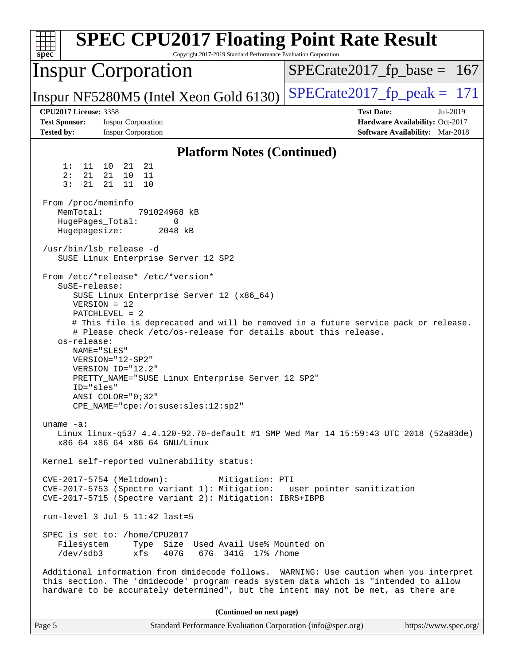| <b>SPEC CPU2017 Floating Point Rate Result</b><br>Copyright 2017-2019 Standard Performance Evaluation Corporation<br>spec <sup>®</sup>                                                                                                                                                                                                                                                                                                                                                                                                                                                                          |                                                                                                            |
|-----------------------------------------------------------------------------------------------------------------------------------------------------------------------------------------------------------------------------------------------------------------------------------------------------------------------------------------------------------------------------------------------------------------------------------------------------------------------------------------------------------------------------------------------------------------------------------------------------------------|------------------------------------------------------------------------------------------------------------|
| <b>Inspur Corporation</b>                                                                                                                                                                                                                                                                                                                                                                                                                                                                                                                                                                                       | $SPECrate2017_fp\_base = 167$                                                                              |
| Inspur NF5280M5 (Intel Xeon Gold 6130)                                                                                                                                                                                                                                                                                                                                                                                                                                                                                                                                                                          | $SPECTate2017$ _fp_peak = 171                                                                              |
| <b>CPU2017 License: 3358</b><br><b>Test Sponsor:</b><br><b>Inspur Corporation</b><br><b>Tested by:</b><br><b>Inspur Corporation</b>                                                                                                                                                                                                                                                                                                                                                                                                                                                                             | <b>Test Date:</b><br>Jul-2019<br>Hardware Availability: Oct-2017<br><b>Software Availability:</b> Mar-2018 |
| <b>Platform Notes (Continued)</b>                                                                                                                                                                                                                                                                                                                                                                                                                                                                                                                                                                               |                                                                                                            |
| 21<br>1:<br>11 10 21<br>21 10<br>2:<br>21<br>11<br>3:<br>21<br>21<br>11<br>10                                                                                                                                                                                                                                                                                                                                                                                                                                                                                                                                   |                                                                                                            |
| From /proc/meminfo<br>MemTotal:<br>791024968 kB<br>HugePages_Total:<br>0<br>Hugepagesize:<br>2048 kB                                                                                                                                                                                                                                                                                                                                                                                                                                                                                                            |                                                                                                            |
| /usr/bin/lsb_release -d<br>SUSE Linux Enterprise Server 12 SP2                                                                                                                                                                                                                                                                                                                                                                                                                                                                                                                                                  |                                                                                                            |
| From /etc/*release* /etc/*version*<br>SuSE-release:<br>SUSE Linux Enterprise Server 12 (x86_64)<br>$VERSION = 12$<br>$PATCHLEVEL = 2$<br># This file is deprecated and will be removed in a future service pack or release.<br># Please check /etc/os-release for details about this release.<br>os-release:<br>NAME="SLES"<br>VERSION="12-SP2"<br>VERSION ID="12.2"<br>PRETTY_NAME="SUSE Linux Enterprise Server 12 SP2"<br>ID="sles"<br>$ANSI\_COLOR = "0; 32"$<br>CPE_NAME="cpe:/o:suse:sles:12:sp2"<br>uname $-a$ :<br>Linux linux-q537 4.4.120-92.70-default #1 SMP Wed Mar 14 15:59:43 UTC 2018 (52a83de) |                                                                                                            |
| x86_64 x86_64 x86_64 GNU/Linux                                                                                                                                                                                                                                                                                                                                                                                                                                                                                                                                                                                  |                                                                                                            |
| Kernel self-reported vulnerability status:<br>CVE-2017-5754 (Meltdown):<br>Mitigation: PTI<br>CVE-2017-5753 (Spectre variant 1): Mitigation: __user pointer sanitization<br>CVE-2017-5715 (Spectre variant 2): Mitigation: IBRS+IBPB<br>$run-level 3 Jul 5 11:42 last=5$                                                                                                                                                                                                                                                                                                                                        |                                                                                                            |
| SPEC is set to: /home/CPU2017<br>Type Size Used Avail Use% Mounted on<br>Filesystem<br>/dev/sdb3<br>xfs<br>407G<br>67G 341G 17% / home<br>Additional information from dmidecode follows. WARNING: Use caution when you interpret                                                                                                                                                                                                                                                                                                                                                                                |                                                                                                            |
| this section. The 'dmidecode' program reads system data which is "intended to allow<br>hardware to be accurately determined", but the intent may not be met, as there are                                                                                                                                                                                                                                                                                                                                                                                                                                       |                                                                                                            |
| (Continued on next page)                                                                                                                                                                                                                                                                                                                                                                                                                                                                                                                                                                                        |                                                                                                            |
| Standard Performance Evaluation Corporation (info@spec.org)<br>Page 5                                                                                                                                                                                                                                                                                                                                                                                                                                                                                                                                           | https://www.spec.org/                                                                                      |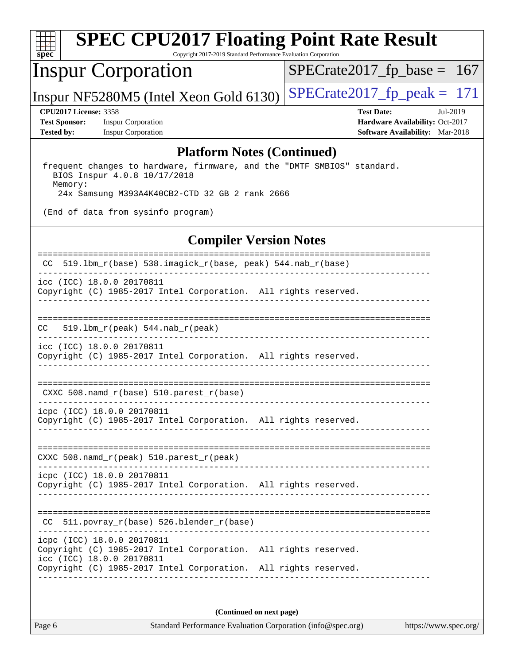

# **[SPEC CPU2017 Floating Point Rate Result](http://www.spec.org/auto/cpu2017/Docs/result-fields.html#SPECCPU2017FloatingPointRateResult)**

Copyright 2017-2019 Standard Performance Evaluation Corporation

## Inspur Corporation

[SPECrate2017\\_fp\\_base =](http://www.spec.org/auto/cpu2017/Docs/result-fields.html#SPECrate2017fpbase) 167

## Inspur NF5280M5 (Intel Xeon Gold 6130)  $SPECrate2017_fpcak = 171$

**[Test Sponsor:](http://www.spec.org/auto/cpu2017/Docs/result-fields.html#TestSponsor)** Inspur Corporation **[Hardware Availability:](http://www.spec.org/auto/cpu2017/Docs/result-fields.html#HardwareAvailability)** Oct-2017 **[Tested by:](http://www.spec.org/auto/cpu2017/Docs/result-fields.html#Testedby)** Inspur Corporation **[Software Availability:](http://www.spec.org/auto/cpu2017/Docs/result-fields.html#SoftwareAvailability)** Mar-2018

**[CPU2017 License:](http://www.spec.org/auto/cpu2017/Docs/result-fields.html#CPU2017License)** 3358 **[Test Date:](http://www.spec.org/auto/cpu2017/Docs/result-fields.html#TestDate)** Jul-2019

#### **[Platform Notes \(Continued\)](http://www.spec.org/auto/cpu2017/Docs/result-fields.html#PlatformNotes)**

 frequent changes to hardware, firmware, and the "DMTF SMBIOS" standard. BIOS Inspur 4.0.8 10/17/2018 Memory: 24x Samsung M393A4K40CB2-CTD 32 GB 2 rank 2666

(End of data from sysinfo program)

#### **[Compiler Version Notes](http://www.spec.org/auto/cpu2017/Docs/result-fields.html#CompilerVersionNotes)**

| $519.1$ bm_r(base) 538.imagick_r(base, peak) 544.nab_r(base)<br>CC                                                                                                                            |
|-----------------------------------------------------------------------------------------------------------------------------------------------------------------------------------------------|
| icc (ICC) 18.0.0 20170811<br>Copyright (C) 1985-2017 Intel Corporation. All rights reserved.                                                                                                  |
| -------------------<br>$519.1bm_r(peak) 544.nab_r(peak)$<br>CC.                                                                                                                               |
| icc (ICC) 18.0.0 20170811<br>Copyright (C) 1985-2017 Intel Corporation. All rights reserved.                                                                                                  |
| CXXC 508. namd $r(base)$ 510. parest $r(base)$                                                                                                                                                |
| icpc (ICC) 18.0.0 20170811<br>Copyright (C) 1985-2017 Intel Corporation. All rights reserved.                                                                                                 |
| CXXC 508. namd $r(\text{peak})$ 510. parest $r(\text{peak})$                                                                                                                                  |
| icpc (ICC) 18.0.0 20170811<br>Copyright (C) 1985-2017 Intel Corporation. All rights reserved.                                                                                                 |
| 511.povray_r(base) 526.blender_r(base)<br>CC                                                                                                                                                  |
| icpc (ICC) 18.0.0 20170811<br>Copyright (C) 1985-2017 Intel Corporation. All rights reserved.<br>icc (ICC) 18.0.0 20170811<br>Copyright (C) 1985-2017 Intel Corporation. All rights reserved. |
|                                                                                                                                                                                               |

**(Continued on next page)**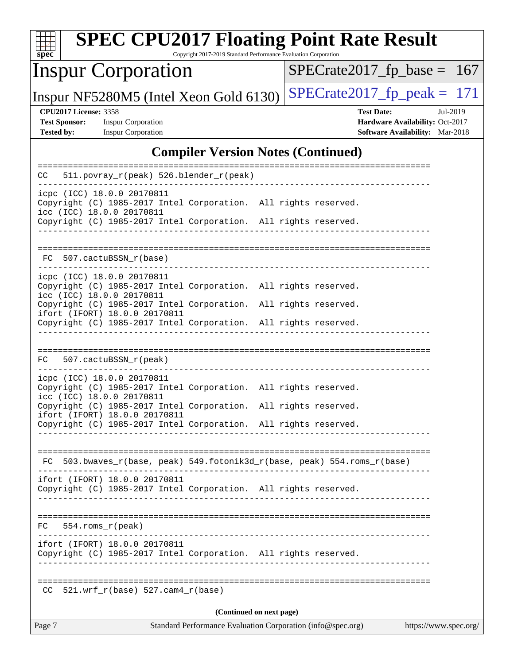| $spec^*$                                                                  | <b>SPEC CPU2017 Floating Point Rate Result</b>                                                                                                                                                                                                                       | Copyright 2017-2019 Standard Performance Evaluation Corporation |  |                                                                                         |                       |  |
|---------------------------------------------------------------------------|----------------------------------------------------------------------------------------------------------------------------------------------------------------------------------------------------------------------------------------------------------------------|-----------------------------------------------------------------|--|-----------------------------------------------------------------------------------------|-----------------------|--|
|                                                                           | <b>Inspur Corporation</b>                                                                                                                                                                                                                                            |                                                                 |  | $SPECrate2017_fp\_base = 167$                                                           |                       |  |
|                                                                           | Inspur NF5280M5 (Intel Xeon Gold 6130)                                                                                                                                                                                                                               |                                                                 |  | $SPECTate2017$ _fp_peak = 171                                                           |                       |  |
| <b>CPU2017 License: 3358</b><br><b>Test Sponsor:</b><br><b>Tested by:</b> | <b>Inspur Corporation</b><br><b>Inspur Corporation</b>                                                                                                                                                                                                               |                                                                 |  | <b>Test Date:</b><br>Hardware Availability: Oct-2017<br>Software Availability: Mar-2018 | Jul-2019              |  |
|                                                                           |                                                                                                                                                                                                                                                                      | <b>Compiler Version Notes (Continued)</b>                       |  |                                                                                         |                       |  |
| CC                                                                        | 511.povray_r(peak) 526.blender_r(peak)                                                                                                                                                                                                                               |                                                                 |  |                                                                                         |                       |  |
|                                                                           | icpc (ICC) 18.0.0 20170811<br>Copyright (C) 1985-2017 Intel Corporation. All rights reserved.<br>icc (ICC) 18.0.0 20170811<br>Copyright (C) 1985-2017 Intel Corporation. All rights reserved.                                                                        |                                                                 |  |                                                                                         |                       |  |
|                                                                           | FC 507.cactuBSSN_r(base)                                                                                                                                                                                                                                             |                                                                 |  |                                                                                         |                       |  |
| icc (ICC) 18.0.0 20170811                                                 | icpc (ICC) 18.0.0 20170811<br>Copyright (C) 1985-2017 Intel Corporation. All rights reserved.<br>Copyright (C) 1985-2017 Intel Corporation. All rights reserved.<br>ifort (IFORT) 18.0.0 20170811<br>Copyright (C) 1985-2017 Intel Corporation. All rights reserved. |                                                                 |  |                                                                                         |                       |  |
|                                                                           | FC 507.cactuBSSN_r(peak)                                                                                                                                                                                                                                             |                                                                 |  |                                                                                         |                       |  |
| icc (ICC) 18.0.0 20170811                                                 | icpc (ICC) 18.0.0 20170811<br>Copyright (C) 1985-2017 Intel Corporation. All rights reserved.<br>Copyright (C) 1985-2017 Intel Corporation. All rights reserved.<br>ifort (IFORT) 18.0.0 20170811<br>Copyright (C) 1985-2017 Intel Corporation. All rights reserved. |                                                                 |  |                                                                                         |                       |  |
|                                                                           | FC 503.bwaves_r(base, peak) 549.fotonik3d_r(base, peak) 554.roms_r(base)<br>ifort (IFORT) 18.0.0 20170811                                                                                                                                                            |                                                                 |  |                                                                                         |                       |  |
|                                                                           | Copyright (C) 1985-2017 Intel Corporation. All rights reserved.                                                                                                                                                                                                      |                                                                 |  |                                                                                         |                       |  |
| 554.roms r(peak)<br>FC.                                                   |                                                                                                                                                                                                                                                                      |                                                                 |  |                                                                                         |                       |  |
|                                                                           | ifort (IFORT) 18.0.0 20170811<br>Copyright (C) 1985-2017 Intel Corporation. All rights reserved.                                                                                                                                                                     |                                                                 |  |                                                                                         |                       |  |
|                                                                           | $CC$ 521.wrf_r(base) 527.cam4_r(base)                                                                                                                                                                                                                                |                                                                 |  |                                                                                         |                       |  |
|                                                                           |                                                                                                                                                                                                                                                                      | (Continued on next page)                                        |  |                                                                                         |                       |  |
| Page 7                                                                    |                                                                                                                                                                                                                                                                      | Standard Performance Evaluation Corporation (info@spec.org)     |  |                                                                                         | https://www.spec.org/ |  |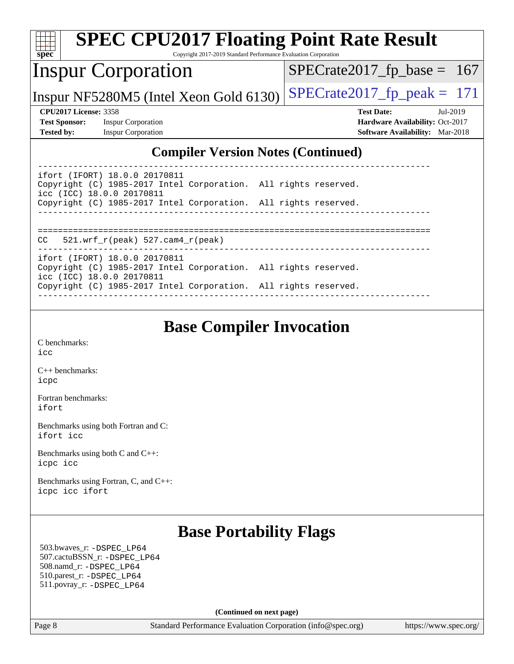| <b>SPEC CPU2017 Floating Point Rate Result</b>                                                                                |                                        |
|-------------------------------------------------------------------------------------------------------------------------------|----------------------------------------|
| spec <sup>®</sup><br>Copyright 2017-2019 Standard Performance Evaluation Corporation                                          |                                        |
| <b>Inspur Corporation</b>                                                                                                     | $SPECrate2017_fp\_base = 167$          |
| Inspur NF5280M5 (Intel Xeon Gold 6130)                                                                                        | $SPECrate2017_fp\_peak = 171$          |
| <b>CPU2017 License: 3358</b>                                                                                                  | <b>Test Date:</b><br>Jul-2019          |
| <b>Test Sponsor:</b><br><b>Inspur Corporation</b>                                                                             | Hardware Availability: Oct-2017        |
| <b>Tested by:</b><br><b>Inspur Corporation</b>                                                                                | <b>Software Availability:</b> Mar-2018 |
| <b>Compiler Version Notes (Continued)</b>                                                                                     |                                        |
| ifort (IFORT) 18.0.0 20170811<br>Copyright (C) 1985-2017 Intel Corporation. All rights reserved.                              |                                        |
| icc (ICC) 18.0.0 20170811<br>Copyright (C) 1985-2017 Intel Corporation. All rights reserved.                                  |                                        |
| $521. wrf_r(peak) 527. cam4_r(peak)$<br>CC.                                                                                   |                                        |
| ifort (IFORT) 18.0.0 20170811<br>Copyright (C) 1985-2017 Intel Corporation. All rights reserved.<br>icc (ICC) 18.0.0 20170811 |                                        |
| Copyright (C) 1985-2017 Intel Corporation. All rights reserved.                                                               |                                        |
|                                                                                                                               |                                        |

## **[Base Compiler Invocation](http://www.spec.org/auto/cpu2017/Docs/result-fields.html#BaseCompilerInvocation)**

[C benchmarks](http://www.spec.org/auto/cpu2017/Docs/result-fields.html#Cbenchmarks): [icc](http://www.spec.org/cpu2017/results/res2019q3/cpu2017-20190709-16203.flags.html#user_CCbase_intel_icc_18.0_66fc1ee009f7361af1fbd72ca7dcefbb700085f36577c54f309893dd4ec40d12360134090235512931783d35fd58c0460139e722d5067c5574d8eaf2b3e37e92)

[C++ benchmarks:](http://www.spec.org/auto/cpu2017/Docs/result-fields.html#CXXbenchmarks) [icpc](http://www.spec.org/cpu2017/results/res2019q3/cpu2017-20190709-16203.flags.html#user_CXXbase_intel_icpc_18.0_c510b6838c7f56d33e37e94d029a35b4a7bccf4766a728ee175e80a419847e808290a9b78be685c44ab727ea267ec2f070ec5dc83b407c0218cded6866a35d07)

[Fortran benchmarks](http://www.spec.org/auto/cpu2017/Docs/result-fields.html#Fortranbenchmarks): [ifort](http://www.spec.org/cpu2017/results/res2019q3/cpu2017-20190709-16203.flags.html#user_FCbase_intel_ifort_18.0_8111460550e3ca792625aed983ce982f94888b8b503583aa7ba2b8303487b4d8a21a13e7191a45c5fd58ff318f48f9492884d4413fa793fd88dd292cad7027ca)

[Benchmarks using both Fortran and C](http://www.spec.org/auto/cpu2017/Docs/result-fields.html#BenchmarksusingbothFortranandC): [ifort](http://www.spec.org/cpu2017/results/res2019q3/cpu2017-20190709-16203.flags.html#user_CC_FCbase_intel_ifort_18.0_8111460550e3ca792625aed983ce982f94888b8b503583aa7ba2b8303487b4d8a21a13e7191a45c5fd58ff318f48f9492884d4413fa793fd88dd292cad7027ca) [icc](http://www.spec.org/cpu2017/results/res2019q3/cpu2017-20190709-16203.flags.html#user_CC_FCbase_intel_icc_18.0_66fc1ee009f7361af1fbd72ca7dcefbb700085f36577c54f309893dd4ec40d12360134090235512931783d35fd58c0460139e722d5067c5574d8eaf2b3e37e92)

[Benchmarks using both C and C++](http://www.spec.org/auto/cpu2017/Docs/result-fields.html#BenchmarksusingbothCandCXX): [icpc](http://www.spec.org/cpu2017/results/res2019q3/cpu2017-20190709-16203.flags.html#user_CC_CXXbase_intel_icpc_18.0_c510b6838c7f56d33e37e94d029a35b4a7bccf4766a728ee175e80a419847e808290a9b78be685c44ab727ea267ec2f070ec5dc83b407c0218cded6866a35d07) [icc](http://www.spec.org/cpu2017/results/res2019q3/cpu2017-20190709-16203.flags.html#user_CC_CXXbase_intel_icc_18.0_66fc1ee009f7361af1fbd72ca7dcefbb700085f36577c54f309893dd4ec40d12360134090235512931783d35fd58c0460139e722d5067c5574d8eaf2b3e37e92)

[Benchmarks using Fortran, C, and C++:](http://www.spec.org/auto/cpu2017/Docs/result-fields.html#BenchmarksusingFortranCandCXX) [icpc](http://www.spec.org/cpu2017/results/res2019q3/cpu2017-20190709-16203.flags.html#user_CC_CXX_FCbase_intel_icpc_18.0_c510b6838c7f56d33e37e94d029a35b4a7bccf4766a728ee175e80a419847e808290a9b78be685c44ab727ea267ec2f070ec5dc83b407c0218cded6866a35d07) [icc](http://www.spec.org/cpu2017/results/res2019q3/cpu2017-20190709-16203.flags.html#user_CC_CXX_FCbase_intel_icc_18.0_66fc1ee009f7361af1fbd72ca7dcefbb700085f36577c54f309893dd4ec40d12360134090235512931783d35fd58c0460139e722d5067c5574d8eaf2b3e37e92) [ifort](http://www.spec.org/cpu2017/results/res2019q3/cpu2017-20190709-16203.flags.html#user_CC_CXX_FCbase_intel_ifort_18.0_8111460550e3ca792625aed983ce982f94888b8b503583aa7ba2b8303487b4d8a21a13e7191a45c5fd58ff318f48f9492884d4413fa793fd88dd292cad7027ca)

## **[Base Portability Flags](http://www.spec.org/auto/cpu2017/Docs/result-fields.html#BasePortabilityFlags)**

 503.bwaves\_r: [-DSPEC\\_LP64](http://www.spec.org/cpu2017/results/res2019q3/cpu2017-20190709-16203.flags.html#suite_basePORTABILITY503_bwaves_r_DSPEC_LP64) 507.cactuBSSN\_r: [-DSPEC\\_LP64](http://www.spec.org/cpu2017/results/res2019q3/cpu2017-20190709-16203.flags.html#suite_basePORTABILITY507_cactuBSSN_r_DSPEC_LP64) 508.namd\_r: [-DSPEC\\_LP64](http://www.spec.org/cpu2017/results/res2019q3/cpu2017-20190709-16203.flags.html#suite_basePORTABILITY508_namd_r_DSPEC_LP64) 510.parest\_r: [-DSPEC\\_LP64](http://www.spec.org/cpu2017/results/res2019q3/cpu2017-20190709-16203.flags.html#suite_basePORTABILITY510_parest_r_DSPEC_LP64) 511.povray\_r: [-DSPEC\\_LP64](http://www.spec.org/cpu2017/results/res2019q3/cpu2017-20190709-16203.flags.html#suite_basePORTABILITY511_povray_r_DSPEC_LP64)

**(Continued on next page)**

Page 8 Standard Performance Evaluation Corporation [\(info@spec.org\)](mailto:info@spec.org) <https://www.spec.org/>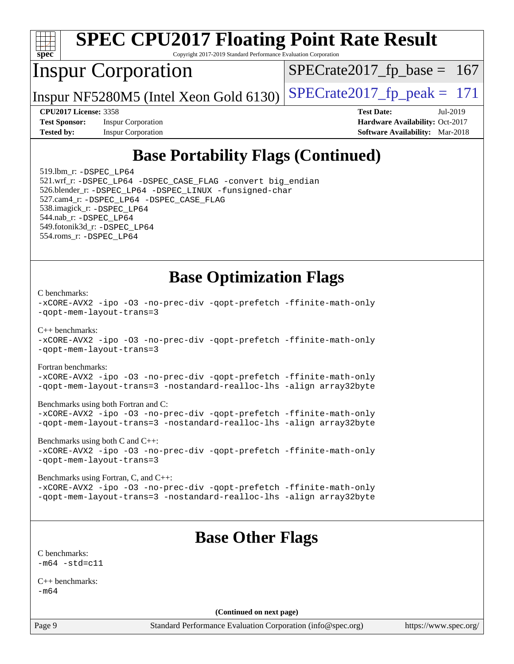

[-xCORE-AVX2](http://www.spec.org/cpu2017/results/res2019q3/cpu2017-20190709-16203.flags.html#user_CC_FCbase_f-xCORE-AVX2) [-ipo](http://www.spec.org/cpu2017/results/res2019q3/cpu2017-20190709-16203.flags.html#user_CC_FCbase_f-ipo) [-O3](http://www.spec.org/cpu2017/results/res2019q3/cpu2017-20190709-16203.flags.html#user_CC_FCbase_f-O3) [-no-prec-div](http://www.spec.org/cpu2017/results/res2019q3/cpu2017-20190709-16203.flags.html#user_CC_FCbase_f-no-prec-div) [-qopt-prefetch](http://www.spec.org/cpu2017/results/res2019q3/cpu2017-20190709-16203.flags.html#user_CC_FCbase_f-qopt-prefetch) [-ffinite-math-only](http://www.spec.org/cpu2017/results/res2019q3/cpu2017-20190709-16203.flags.html#user_CC_FCbase_f_finite_math_only_cb91587bd2077682c4b38af759c288ed7c732db004271a9512da14a4f8007909a5f1427ecbf1a0fb78ff2a814402c6114ac565ca162485bbcae155b5e4258871) [-qopt-mem-layout-trans=3](http://www.spec.org/cpu2017/results/res2019q3/cpu2017-20190709-16203.flags.html#user_CC_FCbase_f-qopt-mem-layout-trans_de80db37974c74b1f0e20d883f0b675c88c3b01e9d123adea9b28688d64333345fb62bc4a798493513fdb68f60282f9a726aa07f478b2f7113531aecce732043) [-nostandard-realloc-lhs](http://www.spec.org/cpu2017/results/res2019q3/cpu2017-20190709-16203.flags.html#user_CC_FCbase_f_2003_std_realloc_82b4557e90729c0f113870c07e44d33d6f5a304b4f63d4c15d2d0f1fab99f5daaed73bdb9275d9ae411527f28b936061aa8b9c8f2d63842963b95c9dd6426b8a) [-align array32byte](http://www.spec.org/cpu2017/results/res2019q3/cpu2017-20190709-16203.flags.html#user_CC_FCbase_align_array32byte_b982fe038af199962ba9a80c053b8342c548c85b40b8e86eb3cc33dee0d7986a4af373ac2d51c3f7cf710a18d62fdce2948f201cd044323541f22fc0fffc51b6)

[Benchmarks using both C and C++](http://www.spec.org/auto/cpu2017/Docs/result-fields.html#BenchmarksusingbothCandCXX): [-xCORE-AVX2](http://www.spec.org/cpu2017/results/res2019q3/cpu2017-20190709-16203.flags.html#user_CC_CXXbase_f-xCORE-AVX2) [-ipo](http://www.spec.org/cpu2017/results/res2019q3/cpu2017-20190709-16203.flags.html#user_CC_CXXbase_f-ipo) [-O3](http://www.spec.org/cpu2017/results/res2019q3/cpu2017-20190709-16203.flags.html#user_CC_CXXbase_f-O3) [-no-prec-div](http://www.spec.org/cpu2017/results/res2019q3/cpu2017-20190709-16203.flags.html#user_CC_CXXbase_f-no-prec-div) [-qopt-prefetch](http://www.spec.org/cpu2017/results/res2019q3/cpu2017-20190709-16203.flags.html#user_CC_CXXbase_f-qopt-prefetch) [-ffinite-math-only](http://www.spec.org/cpu2017/results/res2019q3/cpu2017-20190709-16203.flags.html#user_CC_CXXbase_f_finite_math_only_cb91587bd2077682c4b38af759c288ed7c732db004271a9512da14a4f8007909a5f1427ecbf1a0fb78ff2a814402c6114ac565ca162485bbcae155b5e4258871) [-qopt-mem-layout-trans=3](http://www.spec.org/cpu2017/results/res2019q3/cpu2017-20190709-16203.flags.html#user_CC_CXXbase_f-qopt-mem-layout-trans_de80db37974c74b1f0e20d883f0b675c88c3b01e9d123adea9b28688d64333345fb62bc4a798493513fdb68f60282f9a726aa07f478b2f7113531aecce732043)

[Benchmarks using Fortran, C, and C++:](http://www.spec.org/auto/cpu2017/Docs/result-fields.html#BenchmarksusingFortranCandCXX) [-xCORE-AVX2](http://www.spec.org/cpu2017/results/res2019q3/cpu2017-20190709-16203.flags.html#user_CC_CXX_FCbase_f-xCORE-AVX2) [-ipo](http://www.spec.org/cpu2017/results/res2019q3/cpu2017-20190709-16203.flags.html#user_CC_CXX_FCbase_f-ipo) [-O3](http://www.spec.org/cpu2017/results/res2019q3/cpu2017-20190709-16203.flags.html#user_CC_CXX_FCbase_f-O3) [-no-prec-div](http://www.spec.org/cpu2017/results/res2019q3/cpu2017-20190709-16203.flags.html#user_CC_CXX_FCbase_f-no-prec-div) [-qopt-prefetch](http://www.spec.org/cpu2017/results/res2019q3/cpu2017-20190709-16203.flags.html#user_CC_CXX_FCbase_f-qopt-prefetch) [-ffinite-math-only](http://www.spec.org/cpu2017/results/res2019q3/cpu2017-20190709-16203.flags.html#user_CC_CXX_FCbase_f_finite_math_only_cb91587bd2077682c4b38af759c288ed7c732db004271a9512da14a4f8007909a5f1427ecbf1a0fb78ff2a814402c6114ac565ca162485bbcae155b5e4258871) [-qopt-mem-layout-trans=3](http://www.spec.org/cpu2017/results/res2019q3/cpu2017-20190709-16203.flags.html#user_CC_CXX_FCbase_f-qopt-mem-layout-trans_de80db37974c74b1f0e20d883f0b675c88c3b01e9d123adea9b28688d64333345fb62bc4a798493513fdb68f60282f9a726aa07f478b2f7113531aecce732043) [-nostandard-realloc-lhs](http://www.spec.org/cpu2017/results/res2019q3/cpu2017-20190709-16203.flags.html#user_CC_CXX_FCbase_f_2003_std_realloc_82b4557e90729c0f113870c07e44d33d6f5a304b4f63d4c15d2d0f1fab99f5daaed73bdb9275d9ae411527f28b936061aa8b9c8f2d63842963b95c9dd6426b8a) [-align array32byte](http://www.spec.org/cpu2017/results/res2019q3/cpu2017-20190709-16203.flags.html#user_CC_CXX_FCbase_align_array32byte_b982fe038af199962ba9a80c053b8342c548c85b40b8e86eb3cc33dee0d7986a4af373ac2d51c3f7cf710a18d62fdce2948f201cd044323541f22fc0fffc51b6)

## **[Base Other Flags](http://www.spec.org/auto/cpu2017/Docs/result-fields.html#BaseOtherFlags)**

[C benchmarks](http://www.spec.org/auto/cpu2017/Docs/result-fields.html#Cbenchmarks):  $-m64 - std = c11$  $-m64 - std = c11$ 

[C++ benchmarks:](http://www.spec.org/auto/cpu2017/Docs/result-fields.html#CXXbenchmarks) [-m64](http://www.spec.org/cpu2017/results/res2019q3/cpu2017-20190709-16203.flags.html#user_CXXbase_intel_intel64_18.0_af43caccfc8ded86e7699f2159af6efc7655f51387b94da716254467f3c01020a5059329e2569e4053f409e7c9202a7efc638f7a6d1ffb3f52dea4a3e31d82ab)

**(Continued on next page)**

Page 9 Standard Performance Evaluation Corporation [\(info@spec.org\)](mailto:info@spec.org) <https://www.spec.org/>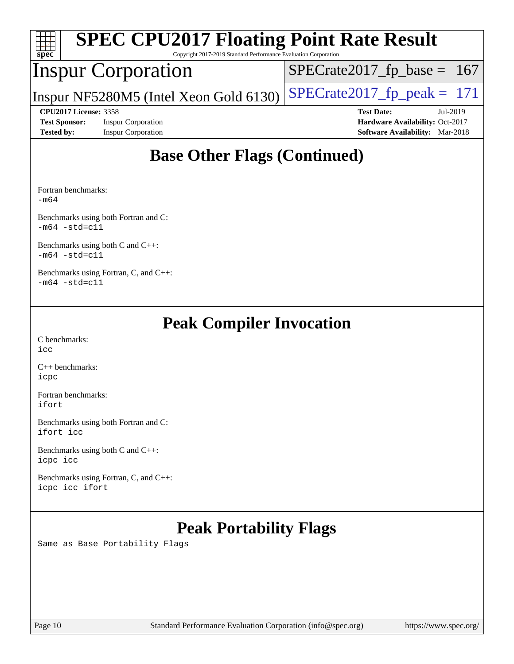| <b>SPEC CPU2017 Floating Point Rate Result</b><br>$\frac{1}{\text{spec}^*}$<br>Copyright 2017-2019 Standard Performance Evaluation Corporation |                                        |                                        |  |  |  |
|------------------------------------------------------------------------------------------------------------------------------------------------|----------------------------------------|----------------------------------------|--|--|--|
|                                                                                                                                                | <b>Inspur Corporation</b>              | $SPECrate2017_fp\_base = 167$          |  |  |  |
|                                                                                                                                                | Inspur NF5280M5 (Intel Xeon Gold 6130) | $SPECrate2017_fp\_peak = 171$          |  |  |  |
| <b>CPU2017 License: 3358</b>                                                                                                                   |                                        | <b>Test Date:</b><br>$Jul-2019$        |  |  |  |
| <b>Test Sponsor:</b><br><b>Inspur Corporation</b>                                                                                              |                                        | Hardware Availability: Oct-2017        |  |  |  |
| <b>Tested by:</b>                                                                                                                              | <b>Inspur Corporation</b>              | <b>Software Availability:</b> Mar-2018 |  |  |  |
|                                                                                                                                                |                                        |                                        |  |  |  |

## **[Base Other Flags \(Continued\)](http://www.spec.org/auto/cpu2017/Docs/result-fields.html#BaseOtherFlags)**

[Fortran benchmarks](http://www.spec.org/auto/cpu2017/Docs/result-fields.html#Fortranbenchmarks): [-m64](http://www.spec.org/cpu2017/results/res2019q3/cpu2017-20190709-16203.flags.html#user_FCbase_intel_intel64_18.0_af43caccfc8ded86e7699f2159af6efc7655f51387b94da716254467f3c01020a5059329e2569e4053f409e7c9202a7efc638f7a6d1ffb3f52dea4a3e31d82ab)

[Benchmarks using both Fortran and C](http://www.spec.org/auto/cpu2017/Docs/result-fields.html#BenchmarksusingbothFortranandC):  $-m64 - std= c11$  $-m64 - std= c11$ 

[Benchmarks using both C and C++](http://www.spec.org/auto/cpu2017/Docs/result-fields.html#BenchmarksusingbothCandCXX):  $-m64 - std= c11$  $-m64 - std= c11$ 

[Benchmarks using Fortran, C, and C++:](http://www.spec.org/auto/cpu2017/Docs/result-fields.html#BenchmarksusingFortranCandCXX)  $-m64 - std= c11$  $-m64 - std= c11$ 

## **[Peak Compiler Invocation](http://www.spec.org/auto/cpu2017/Docs/result-fields.html#PeakCompilerInvocation)**

[C benchmarks](http://www.spec.org/auto/cpu2017/Docs/result-fields.html#Cbenchmarks): [icc](http://www.spec.org/cpu2017/results/res2019q3/cpu2017-20190709-16203.flags.html#user_CCpeak_intel_icc_18.0_66fc1ee009f7361af1fbd72ca7dcefbb700085f36577c54f309893dd4ec40d12360134090235512931783d35fd58c0460139e722d5067c5574d8eaf2b3e37e92)

[C++ benchmarks:](http://www.spec.org/auto/cpu2017/Docs/result-fields.html#CXXbenchmarks) [icpc](http://www.spec.org/cpu2017/results/res2019q3/cpu2017-20190709-16203.flags.html#user_CXXpeak_intel_icpc_18.0_c510b6838c7f56d33e37e94d029a35b4a7bccf4766a728ee175e80a419847e808290a9b78be685c44ab727ea267ec2f070ec5dc83b407c0218cded6866a35d07)

[Fortran benchmarks](http://www.spec.org/auto/cpu2017/Docs/result-fields.html#Fortranbenchmarks): [ifort](http://www.spec.org/cpu2017/results/res2019q3/cpu2017-20190709-16203.flags.html#user_FCpeak_intel_ifort_18.0_8111460550e3ca792625aed983ce982f94888b8b503583aa7ba2b8303487b4d8a21a13e7191a45c5fd58ff318f48f9492884d4413fa793fd88dd292cad7027ca)

[Benchmarks using both Fortran and C](http://www.spec.org/auto/cpu2017/Docs/result-fields.html#BenchmarksusingbothFortranandC): [ifort](http://www.spec.org/cpu2017/results/res2019q3/cpu2017-20190709-16203.flags.html#user_CC_FCpeak_intel_ifort_18.0_8111460550e3ca792625aed983ce982f94888b8b503583aa7ba2b8303487b4d8a21a13e7191a45c5fd58ff318f48f9492884d4413fa793fd88dd292cad7027ca) [icc](http://www.spec.org/cpu2017/results/res2019q3/cpu2017-20190709-16203.flags.html#user_CC_FCpeak_intel_icc_18.0_66fc1ee009f7361af1fbd72ca7dcefbb700085f36577c54f309893dd4ec40d12360134090235512931783d35fd58c0460139e722d5067c5574d8eaf2b3e37e92)

[Benchmarks using both C and C++](http://www.spec.org/auto/cpu2017/Docs/result-fields.html#BenchmarksusingbothCandCXX): [icpc](http://www.spec.org/cpu2017/results/res2019q3/cpu2017-20190709-16203.flags.html#user_CC_CXXpeak_intel_icpc_18.0_c510b6838c7f56d33e37e94d029a35b4a7bccf4766a728ee175e80a419847e808290a9b78be685c44ab727ea267ec2f070ec5dc83b407c0218cded6866a35d07) [icc](http://www.spec.org/cpu2017/results/res2019q3/cpu2017-20190709-16203.flags.html#user_CC_CXXpeak_intel_icc_18.0_66fc1ee009f7361af1fbd72ca7dcefbb700085f36577c54f309893dd4ec40d12360134090235512931783d35fd58c0460139e722d5067c5574d8eaf2b3e37e92)

[Benchmarks using Fortran, C, and C++:](http://www.spec.org/auto/cpu2017/Docs/result-fields.html#BenchmarksusingFortranCandCXX) [icpc](http://www.spec.org/cpu2017/results/res2019q3/cpu2017-20190709-16203.flags.html#user_CC_CXX_FCpeak_intel_icpc_18.0_c510b6838c7f56d33e37e94d029a35b4a7bccf4766a728ee175e80a419847e808290a9b78be685c44ab727ea267ec2f070ec5dc83b407c0218cded6866a35d07) [icc](http://www.spec.org/cpu2017/results/res2019q3/cpu2017-20190709-16203.flags.html#user_CC_CXX_FCpeak_intel_icc_18.0_66fc1ee009f7361af1fbd72ca7dcefbb700085f36577c54f309893dd4ec40d12360134090235512931783d35fd58c0460139e722d5067c5574d8eaf2b3e37e92) [ifort](http://www.spec.org/cpu2017/results/res2019q3/cpu2017-20190709-16203.flags.html#user_CC_CXX_FCpeak_intel_ifort_18.0_8111460550e3ca792625aed983ce982f94888b8b503583aa7ba2b8303487b4d8a21a13e7191a45c5fd58ff318f48f9492884d4413fa793fd88dd292cad7027ca)

## **[Peak Portability Flags](http://www.spec.org/auto/cpu2017/Docs/result-fields.html#PeakPortabilityFlags)**

Same as Base Portability Flags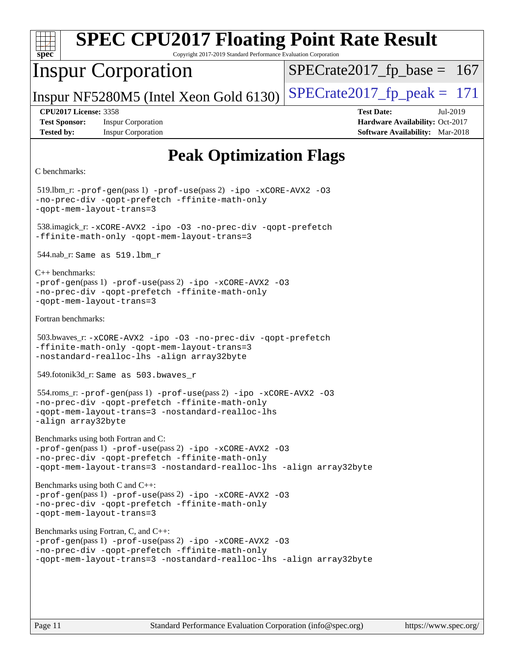| <b>SPEC CPU2017 Floating Point Rate Result</b><br>spec<br>Copyright 2017-2019 Standard Performance Evaluation Corporation                                                                                                  |                                                                                                            |  |  |  |  |  |
|----------------------------------------------------------------------------------------------------------------------------------------------------------------------------------------------------------------------------|------------------------------------------------------------------------------------------------------------|--|--|--|--|--|
| <b>Inspur Corporation</b>                                                                                                                                                                                                  | $SPECrate2017_fp\_base = 167$                                                                              |  |  |  |  |  |
| Inspur NF5280M5 (Intel Xeon Gold 6130)                                                                                                                                                                                     | $SPECTate2017$ _fp_peak = 171                                                                              |  |  |  |  |  |
| <b>CPU2017 License: 3358</b><br><b>Test Sponsor:</b><br><b>Inspur Corporation</b><br><b>Tested by:</b><br><b>Inspur Corporation</b>                                                                                        | <b>Test Date:</b><br>Jul-2019<br>Hardware Availability: Oct-2017<br><b>Software Availability:</b> Mar-2018 |  |  |  |  |  |
| <b>Peak Optimization Flags</b>                                                                                                                                                                                             |                                                                                                            |  |  |  |  |  |
| C benchmarks:                                                                                                                                                                                                              |                                                                                                            |  |  |  |  |  |
| 519.lbm_r: -prof-gen(pass 1) -prof-use(pass 2) -ipo -xCORE-AVX2 -03<br>-no-prec-div -qopt-prefetch -ffinite-math-only<br>-qopt-mem-layout-trans=3                                                                          |                                                                                                            |  |  |  |  |  |
| 538.imagick_r: -xCORE-AVX2 -ipo -03 -no-prec-div -qopt-prefetch<br>-ffinite-math-only -gopt-mem-layout-trans=3                                                                                                             |                                                                                                            |  |  |  |  |  |
| 544.nab_r: Same as 519.1bm_r                                                                                                                                                                                               |                                                                                                            |  |  |  |  |  |
| $C_{++}$ benchmarks:<br>-prof-gen(pass 1) -prof-use(pass 2) -ipo -xCORE-AVX2 -03<br>-no-prec-div -qopt-prefetch -ffinite-math-only<br>-qopt-mem-layout-trans=3                                                             |                                                                                                            |  |  |  |  |  |
| Fortran benchmarks:                                                                                                                                                                                                        |                                                                                                            |  |  |  |  |  |
| 503.bwaves_r: -xCORE-AVX2 -ipo -03 -no-prec-div -qopt-prefetch<br>-ffinite-math-only -qopt-mem-layout-trans=3<br>-nostandard-realloc-lhs -align array32byte                                                                |                                                                                                            |  |  |  |  |  |
| 549.fotonik3d_r: Same as 503.bwaves_r                                                                                                                                                                                      |                                                                                                            |  |  |  |  |  |
| 554.roms_r: -prof-gen(pass 1) -prof-use(pass 2) -ipo -xCORE-AVX2 -03<br>-no-prec-div -qopt-prefetch -ffinite-math-only<br>-qopt-mem-layout-trans=3 -nostandard-realloc-lhs<br>-align array32byte                           |                                                                                                            |  |  |  |  |  |
| Benchmarks using both Fortran and C:<br>-prof-gen(pass 1) -prof-use(pass 2) -ipo -xCORE-AVX2 -03<br>-no-prec-div -qopt-prefetch -ffinite-math-only<br>-qopt-mem-layout-trans=3 -nostandard-realloc-lhs -align array32byte  |                                                                                                            |  |  |  |  |  |
| Benchmarks using both C and C++:<br>$-prof-qen(pass 1) -prof-use(pass 2) -ipo -xCORE-AVX2 -03$<br>-no-prec-div -qopt-prefetch -ffinite-math-only<br>-qopt-mem-layout-trans=3                                               |                                                                                                            |  |  |  |  |  |
| Benchmarks using Fortran, C, and C++:<br>-prof-gen(pass 1) -prof-use(pass 2) -ipo -xCORE-AVX2 -03<br>-no-prec-div -qopt-prefetch -ffinite-math-only<br>-qopt-mem-layout-trans=3 -nostandard-realloc-lhs -align array32byte |                                                                                                            |  |  |  |  |  |
|                                                                                                                                                                                                                            |                                                                                                            |  |  |  |  |  |